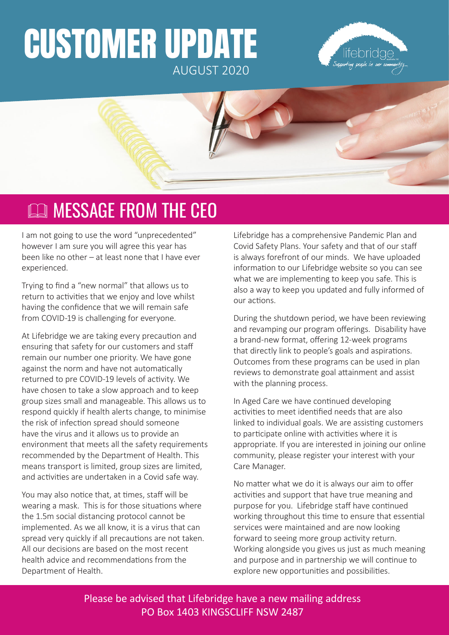# CUSTOMER UPDATE AUGUST 2020





# **EQ MESSAGE FROM THE CEO**

I am not going to use the word "unprecedented" however I am sure you will agree this year has been like no other – at least none that I have ever experienced.

Trying to find a "new normal" that allows us to return to activities that we enjoy and love whilst having the confidence that we will remain safe from COVID-19 is challenging for everyone.

At Lifebridge we are taking every precaution and ensuring that safety for our customers and staff remain our number one priority. We have gone against the norm and have not automatically returned to pre COVID-19 levels of activity. We have chosen to take a slow approach and to keep group sizes small and manageable. This allows us to respond quickly if health alerts change, to minimise the risk of infection spread should someone have the virus and it allows us to provide an environment that meets all the safety requirements recommended by the Department of Health. This means transport is limited, group sizes are limited, and activities are undertaken in a Covid safe way.

You may also notice that, at times, staff will be wearing a mask. This is for those situations where the 1.5m social distancing protocol cannot be implemented. As we all know, it is a virus that can spread very quickly if all precautions are not taken. All our decisions are based on the most recent health advice and recommendations from the Department of Health.

Lifebridge has a comprehensive Pandemic Plan and Covid Safety Plans. Your safety and that of our staff is always forefront of our minds. We have uploaded information to our Lifebridge website so you can see what we are implementing to keep you safe. This is also a way to keep you updated and fully informed of our actions.

During the shutdown period, we have been reviewing and revamping our program offerings. Disability have a brand-new format, offering 12-week programs that directly link to people's goals and aspirations. Outcomes from these programs can be used in plan reviews to demonstrate goal attainment and assist with the planning process.

In Aged Care we have continued developing activities to meet identified needs that are also linked to individual goals. We are assisting customers to participate online with activities where it is appropriate. If you are interested in joining our online community, please register your interest with your Care Manager.

No matter what we do it is always our aim to offer activities and support that have true meaning and purpose for you. Lifebridge staff have continued working throughout this time to ensure that essential services were maintained and are now looking forward to seeing more group activity return. Working alongside you gives us just as much meaning and purpose and in partnership we will continue to explore new opportunities and possibilities.

Please be advised that Lifebridge have a new mailing address PO Box 1403 KINGSCLIFF NSW 2487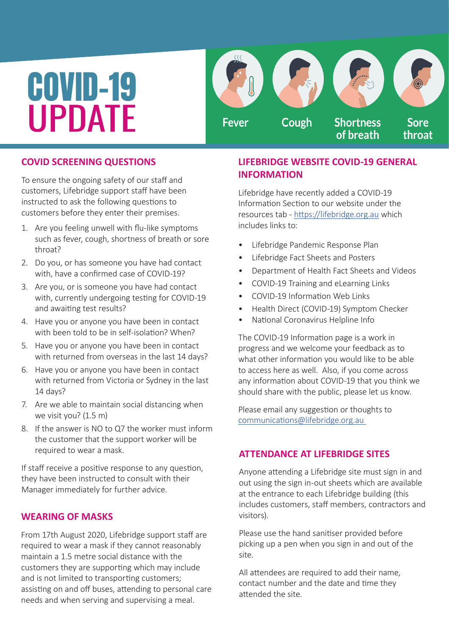# COVID-19 UPDATE

Cough **Shortness Fever Sore** of breath throat

## **COVID SCREENING QUESTIONS**

To ensure the ongoing safety of our staff and customers, Lifebridge support staff have been instructed to ask the following questions to customers before they enter their premises.

- 1. Are you feeling unwell with flu-like symptoms such as fever, cough, shortness of breath or sore throat?
- 2. Do you, or has someone you have had contact with, have a confirmed case of COVID-19?
- 3. Are you, or is someone you have had contact with, currently undergoing testing for COVID-19 and awaiting test results?
- 4. Have you or anyone you have been in contact with been told to be in self-isolation? When?
- 5. Have you or anyone you have been in contact with returned from overseas in the last 14 days?
- 6. Have you or anyone you have been in contact with returned from Victoria or Sydney in the last 14 days?
- 7. Are we able to maintain social distancing when we visit you? (1.5 m)
- 8. If the answer is NO to Q7 the worker must inform the customer that the support worker will be required to wear a mask.

If staff receive a positive response to any question, they have been instructed to consult with their Manager immediately for further advice.

## **WEARING OF MASKS**

From 17th August 2020, Lifebridge support staff are required to wear a mask if they cannot reasonably maintain a 1.5 metre social distance with the customers they are supporting which may include and is not limited to transporting customers; assisting on and off buses, attending to personal care needs and when serving and supervising a meal.

## **LIFEBRIDGE WEBSITE COVID-19 GENERAL INFORMATION**

Lifebridge have recently added a COVID-19 Information Section to our website under the resources tab - <https://lifebridge.org.au> which includes links to:

- Lifebridge Pandemic Response Plan
- Lifebridge Fact Sheets and Posters
- Department of Health Fact Sheets and Videos
- COVID-19 Training and eLearning Links
- COVID-19 Information Web Links
- Health Direct (COVID-19) Symptom Checker
- National Coronavirus Helpline Info

The COVID-19 Information page is a work in progress and we welcome your feedback as to what other information you would like to be able to access here as well. Also, if you come across any information about COVID-19 that you think we should share with the public, please let us know.

Please email any suggestion or thoughts to [communications@lifebridge.org.au](mailto:communications%40lifebridge.org.au%20?subject=) 

### **ATTENDANCE AT LIFEBRIDGE SITES**

Anyone attending a Lifebridge site must sign in and out using the sign in-out sheets which are available at the entrance to each Lifebridge building (this includes customers, staff members, contractors and visitors).

Please use the hand sanitiser provided before picking up a pen when you sign in and out of the site.

All attendees are required to add their name, contact number and the date and time they attended the site.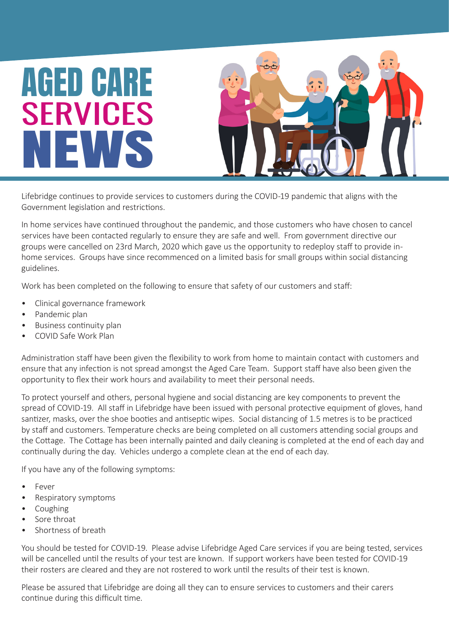

Lifebridge continues to provide services to customers during the COVID-19 pandemic that aligns with the Government legislation and restrictions.

In home services have continued throughout the pandemic, and those customers who have chosen to cancel services have been contacted regularly to ensure they are safe and well. From government directive our groups were cancelled on 23rd March, 2020 which gave us the opportunity to redeploy staff to provide inhome services. Groups have since recommenced on a limited basis for small groups within social distancing guidelines.

Work has been completed on the following to ensure that safety of our customers and staff:

- Clinical governance framework
- Pandemic plan
- Business continuity plan
- COVID Safe Work Plan

Administration staff have been given the flexibility to work from home to maintain contact with customers and ensure that any infection is not spread amongst the Aged Care Team. Support staff have also been given the opportunity to flex their work hours and availability to meet their personal needs.

To protect yourself and others, personal hygiene and social distancing are key components to prevent the spread of COVID-19. All staff in Lifebridge have been issued with personal protective equipment of gloves, hand santizer, masks, over the shoe booties and antiseptic wipes. Social distancing of 1.5 metres is to be practiced by staff and customers. Temperature checks are being completed on all customers attending social groups and the Cottage. The Cottage has been internally painted and daily cleaning is completed at the end of each day and continually during the day. Vehicles undergo a complete clean at the end of each day.

If you have any of the following symptoms:

- **Fever**
- Respiratory symptoms
- Coughing
- Sore throat
- Shortness of breath

You should be tested for COVID-19. Please advise Lifebridge Aged Care services if you are being tested, services will be cancelled until the results of your test are known. If support workers have been tested for COVID-19 their rosters are cleared and they are not rostered to work until the results of their test is known.

Please be assured that Lifebridge are doing all they can to ensure services to customers and their carers continue during this difficult time.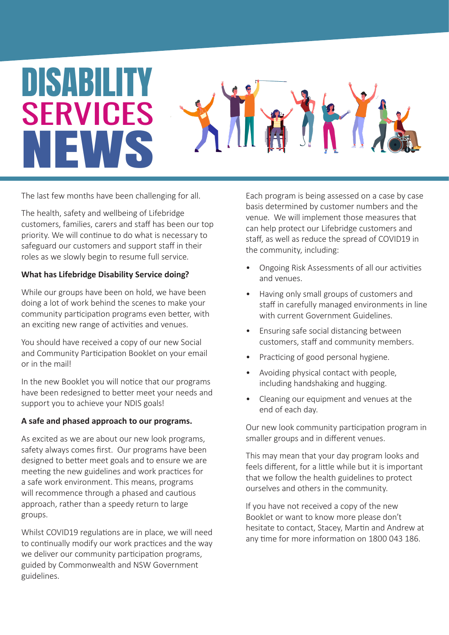# DISABILITY SERVICES NEWS



The last few months have been challenging for all.

The health, safety and wellbeing of Lifebridge customers, families, carers and staff has been our top priority. We will continue to do what is necessary to safeguard our customers and support staff in their roles as we slowly begin to resume full service.

#### **What has Lifebridge Disability Service doing?**

While our groups have been on hold, we have been doing a lot of work behind the scenes to make your community participation programs even better, with an exciting new range of activities and venues.

You should have received a copy of our new Social and Community Participation Booklet on your email or in the mail!

In the new Booklet you will notice that our programs have been redesigned to better meet your needs and support you to achieve your NDIS goals!

#### **A safe and phased approach to our programs.**

As excited as we are about our new look programs, safety always comes first. Our programs have been designed to better meet goals and to ensure we are meeting the new guidelines and work practices for a safe work environment. This means, programs will recommence through a phased and cautious approach, rather than a speedy return to large groups.

Whilst COVID19 regulations are in place, we will need to continually modify our work practices and the way we deliver our community participation programs, guided by Commonwealth and NSW Government guidelines.

Each program is being assessed on a case by case basis determined by customer numbers and the venue. We will implement those measures that can help protect our Lifebridge customers and staff, as well as reduce the spread of COVID19 in the community, including:

- Ongoing Risk Assessments of all our activities and venues.
- Having only small groups of customers and staff in carefully managed environments in line with current Government Guidelines.
- Ensuring safe social distancing between customers, staff and community members.
- Practicing of good personal hygiene.
- Avoiding physical contact with people, including handshaking and hugging.
- Cleaning our equipment and venues at the end of each day.

Our new look community participation program in smaller groups and in different venues.

This may mean that your day program looks and feels different, for a little while but it is important that we follow the health guidelines to protect ourselves and others in the community.

If you have not received a copy of the new Booklet or want to know more please don't hesitate to contact, Stacey, Martin and Andrew at any time for more information on 1800 043 186.